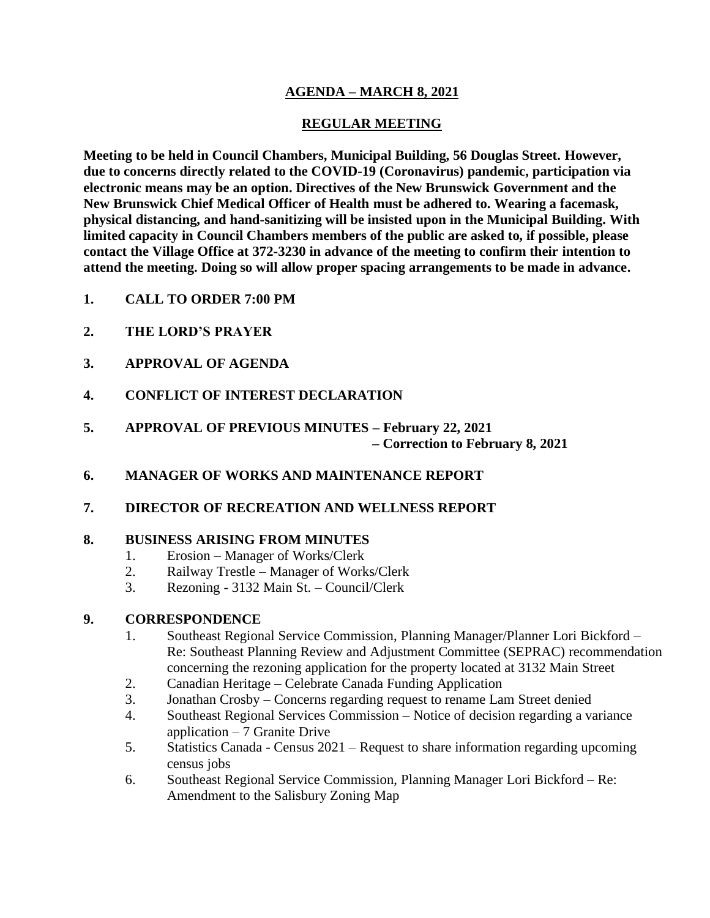# **AGENDA – MARCH 8, 2021**

# **REGULAR MEETING**

**Meeting to be held in Council Chambers, Municipal Building, 56 Douglas Street. However, due to concerns directly related to the COVID-19 (Coronavirus) pandemic, participation via electronic means may be an option. Directives of the New Brunswick Government and the New Brunswick Chief Medical Officer of Health must be adhered to. Wearing a facemask, physical distancing, and hand-sanitizing will be insisted upon in the Municipal Building. With limited capacity in Council Chambers members of the public are asked to, if possible, please contact the Village Office at 372-3230 in advance of the meeting to confirm their intention to attend the meeting. Doing so will allow proper spacing arrangements to be made in advance.**

- **1. CALL TO ORDER 7:00 PM**
- **2. THE LORD'S PRAYER**
- **3. APPROVAL OF AGENDA**
- **4. CONFLICT OF INTEREST DECLARATION**
- **5. APPROVAL OF PREVIOUS MINUTES – February 22, 2021 – Correction to February 8, 2021**
- **6. MANAGER OF WORKS AND MAINTENANCE REPORT**
- **7. DIRECTOR OF RECREATION AND WELLNESS REPORT**

#### **8. BUSINESS ARISING FROM MINUTES**

- 1. Erosion Manager of Works/Clerk
- 2. Railway Trestle Manager of Works/Clerk
- 3. Rezoning 3132 Main St. Council/Clerk

## **9. CORRESPONDENCE**

- 1. Southeast Regional Service Commission, Planning Manager/Planner Lori Bickford Re: Southeast Planning Review and Adjustment Committee (SEPRAC) recommendation concerning the rezoning application for the property located at 3132 Main Street
- 2. Canadian Heritage Celebrate Canada Funding Application
- 3. Jonathan Crosby Concerns regarding request to rename Lam Street denied
- 4. Southeast Regional Services Commission Notice of decision regarding a variance application  $-7$  Granite Drive
- 5. Statistics Canada Census 2021 Request to share information regarding upcoming census jobs
- 6. Southeast Regional Service Commission, Planning Manager Lori Bickford Re: Amendment to the Salisbury Zoning Map